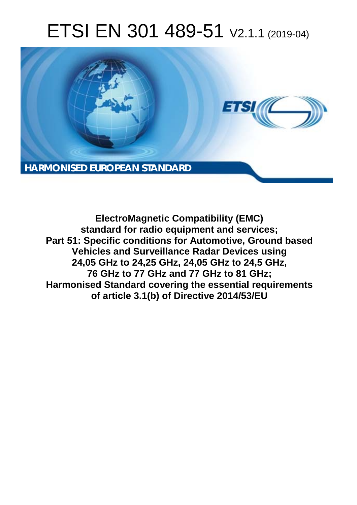# ETSI EN 301 489-51 V2.1.1 (2019-04)



**ElectroMagnetic Compatibility (EMC) standard for radio equipment and services; Part 51: Specific conditions for Automotive, Ground based Vehicles and Surveillance Radar Devices using 24,05 GHz to 24,25 GHz, 24,05 GHz to 24,5 GHz, 76 GHz to 77 GHz and 77 GHz to 81 GHz; Harmonised Standard covering the essential requirements of article 3.1(b) of Directive 2014/53/EU**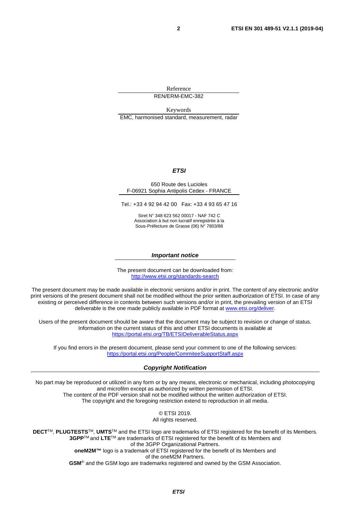Reference REN/ERM-EMC-382

Keywords EMC, harmonised standard, measurement, radar

#### *ETSI*

#### 650 Route des Lucioles F-06921 Sophia Antipolis Cedex - FRANCE

Tel.: +33 4 92 94 42 00 Fax: +33 4 93 65 47 16

Siret N° 348 623 562 00017 - NAF 742 C Association à but non lucratif enregistrée à la Sous-Préfecture de Grasse (06) N° 7803/88

#### *Important notice*

The present document can be downloaded from: <http://www.etsi.org/standards-search>

The present document may be made available in electronic versions and/or in print. The content of any electronic and/or print versions of the present document shall not be modified without the prior written authorization of ETSI. In case of any existing or perceived difference in contents between such versions and/or in print, the prevailing version of an ETSI deliverable is the one made publicly available in PDF format at [www.etsi.org/deliver](http://www.etsi.org/deliver).

Users of the present document should be aware that the document may be subject to revision or change of status. Information on the current status of this and other ETSI documents is available at <https://portal.etsi.org/TB/ETSIDeliverableStatus.aspx>

If you find errors in the present document, please send your comment to one of the following services: <https://portal.etsi.org/People/CommiteeSupportStaff.aspx>

#### *Copyright Notification*

No part may be reproduced or utilized in any form or by any means, electronic or mechanical, including photocopying and microfilm except as authorized by written permission of ETSI. The content of the PDF version shall not be modified without the written authorization of ETSI. The copyright and the foregoing restriction extend to reproduction in all media.

> © ETSI 2019. All rights reserved.

**DECT**TM, **PLUGTESTS**TM, **UMTS**TM and the ETSI logo are trademarks of ETSI registered for the benefit of its Members. **3GPP**TM and **LTE**TM are trademarks of ETSI registered for the benefit of its Members and of the 3GPP Organizational Partners. **oneM2M™** logo is a trademark of ETSI registered for the benefit of its Members and of the oneM2M Partners. **GSM**® and the GSM logo are trademarks registered and owned by the GSM Association.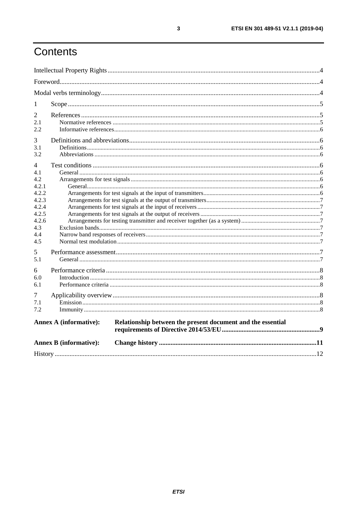# Contents

| 1                                         |                                                                                              |  |
|-------------------------------------------|----------------------------------------------------------------------------------------------|--|
| 2<br>2.1<br>2.2                           |                                                                                              |  |
| 3<br>3.1<br>3.2                           |                                                                                              |  |
| 4<br>4.1<br>4.2<br>4.2.1                  |                                                                                              |  |
| 4.2.2<br>4.2.3<br>4.2.4<br>4.2.5<br>4.2.6 |                                                                                              |  |
| 4.3<br>4.4<br>4.5                         |                                                                                              |  |
| 5<br>5.1                                  |                                                                                              |  |
| 6<br>6.0<br>6.1                           |                                                                                              |  |
| 7<br>7.1<br>7.2                           |                                                                                              |  |
|                                           | <b>Annex A (informative):</b><br>Relationship between the present document and the essential |  |
|                                           | <b>Annex B</b> (informative):                                                                |  |
|                                           |                                                                                              |  |

 $\mathbf{3}$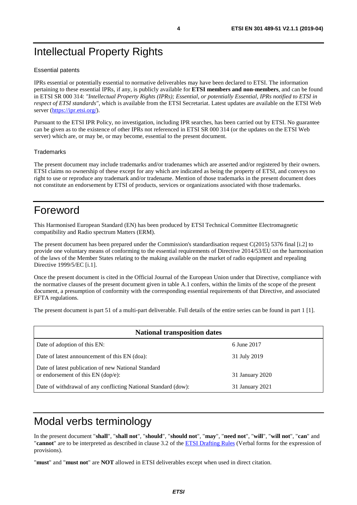# <span id="page-3-0"></span>Intellectual Property Rights

#### Essential patents

IPRs essential or potentially essential to normative deliverables may have been declared to ETSI. The information pertaining to these essential IPRs, if any, is publicly available for **ETSI members and non-members**, and can be found in ETSI SR 000 314: *"Intellectual Property Rights (IPRs); Essential, or potentially Essential, IPRs notified to ETSI in respect of ETSI standards"*, which is available from the ETSI Secretariat. Latest updates are available on the ETSI Web server (<https://ipr.etsi.org/>).

Pursuant to the ETSI IPR Policy, no investigation, including IPR searches, has been carried out by ETSI. No guarantee can be given as to the existence of other IPRs not referenced in ETSI SR 000 314 (or the updates on the ETSI Web server) which are, or may be, or may become, essential to the present document.

#### **Trademarks**

The present document may include trademarks and/or tradenames which are asserted and/or registered by their owners. ETSI claims no ownership of these except for any which are indicated as being the property of ETSI, and conveys no right to use or reproduce any trademark and/or tradename. Mention of those trademarks in the present document does not constitute an endorsement by ETSI of products, services or organizations associated with those trademarks.

# Foreword

This Harmonised European Standard (EN) has been produced by ETSI Technical Committee Electromagnetic compatibility and Radio spectrum Matters (ERM).

The present document has been prepared under the Commission's standardisation request C(2015) 5376 final [\[i.2\]](#page-5-0) to provide one voluntary means of conforming to the essential requirements of Directive 2014/53/EU on the harmonisation of the laws of the Member States relating to the making available on the market of radio equipment and repealing Directive 1999/5/EC [\[i.1](#page-5-0)].

Once the present document is cited in the Official Journal of the European Union under that Directive, compliance with the normative clauses of the present document given in table A.1 confers, within the limits of the scope of the present document, a presumption of conformity with the corresponding essential requirements of that Directive, and associated EFTA regulations.

The present document is part 51 of a multi-part deliverable. Full details of the entire series can be found in part 1 [[1\]](#page-4-0).

| <b>National transposition dates</b>                                                       |                 |  |  |
|-------------------------------------------------------------------------------------------|-----------------|--|--|
| Date of adoption of this EN:                                                              | 6 June 2017     |  |  |
| Date of latest announcement of this EN (doa):                                             | 31 July 2019    |  |  |
| Date of latest publication of new National Standard<br>or endorsement of this EN (dop/e): | 31 January 2020 |  |  |
| Date of withdrawal of any conflicting National Standard (dow):                            | 31 January 2021 |  |  |

# Modal verbs terminology

In the present document "**shall**", "**shall not**", "**should**", "**should not**", "**may**", "**need not**", "**will**", "**will not**", "**can**" and "**cannot**" are to be interpreted as described in clause 3.2 of the [ETSI Drafting Rules](https://portal.etsi.org/Services/editHelp!/Howtostart/ETSIDraftingRules.aspx) (Verbal forms for the expression of provisions).

"**must**" and "**must not**" are **NOT** allowed in ETSI deliverables except when used in direct citation.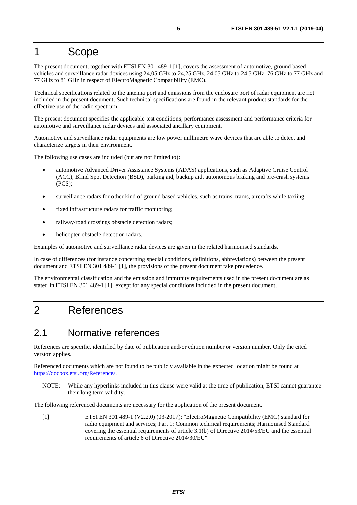### <span id="page-4-0"></span>1 Scope

The present document, together with ETSI EN 301 489-1 [1], covers the assessment of automotive, ground based vehicles and surveillance radar devices using 24,05 GHz to 24,25 GHz, 24,05 GHz to 24,5 GHz, 76 GHz to 77 GHz and 77 GHz to 81 GHz in respect of ElectroMagnetic Compatibility (EMC).

Technical specifications related to the antenna port and emissions from the enclosure port of radar equipment are not included in the present document. Such technical specifications are found in the relevant product standards for the effective use of the radio spectrum.

The present document specifies the applicable test conditions, performance assessment and performance criteria for automotive and surveillance radar devices and associated ancillary equipment.

Automotive and surveillance radar equipments are low power millimetre wave devices that are able to detect and characterize targets in their environment.

The following use cases are included (but are not limited to):

- automotive Advanced Driver Assistance Systems (ADAS) applications, such as Adaptive Cruise Control (ACC), Blind Spot Detection (BSD), parking aid, backup aid, autonomous braking and pre-crash systems (PCS);
- surveillance radars for other kind of ground based vehicles, such as trains, trams, aircrafts while taxiing;
- fixed infrastructure radars for traffic monitoring;
- railway/road crossings obstacle detection radars;
- helicopter obstacle detection radars.

Examples of automotive and surveillance radar devices are given in the related harmonised standards.

In case of differences (for instance concerning special conditions, definitions, abbreviations) between the present document and ETSI EN 301 489-1 [1], the provisions of the present document take precedence.

The environmental classification and the emission and immunity requirements used in the present document are as stated in ETSI EN 301 489-1 [1], except for any special conditions included in the present document.

### 2 References

### 2.1 Normative references

References are specific, identified by date of publication and/or edition number or version number. Only the cited version applies.

Referenced documents which are not found to be publicly available in the expected location might be found at <https://docbox.etsi.org/Reference/>.

NOTE: While any hyperlinks included in this clause were valid at the time of publication, ETSI cannot guarantee their long term validity.

The following referenced documents are necessary for the application of the present document.

[1] ETSI EN 301 489-1 (V2.2.0) (03-2017): "ElectroMagnetic Compatibility (EMC) standard for radio equipment and services; Part 1: Common technical requirements; Harmonised Standard covering the essential requirements of article 3.1(b) of Directive 2014/53/EU and the essential requirements of article 6 of Directive 2014/30/EU".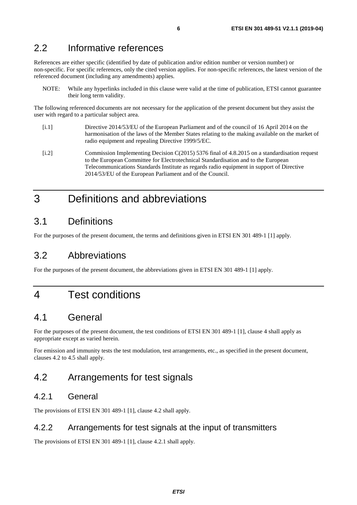### <span id="page-5-0"></span>2.2 Informative references

References are either specific (identified by date of publication and/or edition number or version number) or non-specific. For specific references, only the cited version applies. For non-specific references, the latest version of the referenced document (including any amendments) applies.

NOTE: While any hyperlinks included in this clause were valid at the time of publication, ETSI cannot guarantee their long term validity.

The following referenced documents are not necessary for the application of the present document but they assist the user with regard to a particular subject area.

- [i.1] Directive 2014/53/EU of the European Parliament and of the council of 16 April 2014 on the harmonisation of the laws of the Member States relating to the making available on the market of radio equipment and repealing Directive 1999/5/EC.
- [i.2] Commission Implementing Decision C(2015) 5376 final of 4.8.2015 on a standardisation request to the European Committee for Electrotechnical Standardisation and to the European Telecommunications Standards Institute as regards radio equipment in support of Directive 2014/53/EU of the European Parliament and of the Council.

# 3 Definitions and abbreviations

### 3.1 Definitions

For the purposes of the present document, the terms and definitions given in ETSI EN 301 489-1 [[1\]](#page-4-0) apply.

### 3.2 Abbreviations

For the purposes of the present document, the abbreviations given in ETSI EN 301 489-1 [\[1](#page-4-0)] apply.

### 4 Test conditions

### 4.1 General

For the purposes of the present document, the test conditions of ETSI EN 301 489-1 [\[1](#page-4-0)], clause 4 shall apply as appropriate except as varied herein.

For emission and immunity tests the test modulation, test arrangements, etc., as specified in the present document, clauses 4.2 to 4.5 shall apply.

### 4.2 Arrangements for test signals

#### 4.2.1 General

The provisions of ETSI EN 301 489-1 [[1\]](#page-4-0), clause 4.2 shall apply.

#### 4.2.2 Arrangements for test signals at the input of transmitters

The provisions of ETSI EN 301 489-1 [[1\]](#page-4-0), clause 4.2.1 shall apply.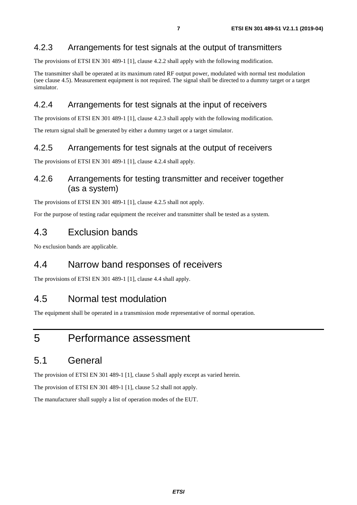### <span id="page-6-0"></span>4.2.3 Arrangements for test signals at the output of transmitters

The provisions of ETSI EN 301 489-1 [[1\]](#page-4-0), clause 4.2.2 shall apply with the following modification.

The transmitter shall be operated at its maximum rated RF output power, modulated with normal test modulation (see clause 4.5). Measurement equipment is not required. The signal shall be directed to a dummy target or a target simulator.

#### 4.2.4 Arrangements for test signals at the input of receivers

The provisions of ETSI EN 301 489-1 [[1\]](#page-4-0), clause 4.2.3 shall apply with the following modification.

The return signal shall be generated by either a dummy target or a target simulator.

#### 4.2.5 Arrangements for test signals at the output of receivers

The provisions of ETSI EN 301 489-1 [[1\]](#page-4-0), clause 4.2.4 shall apply.

#### 4.2.6 Arrangements for testing transmitter and receiver together (as a system)

The provisions of ETSI EN 301 489-1 [[1\]](#page-4-0), clause 4.2.5 shall not apply.

For the purpose of testing radar equipment the receiver and transmitter shall be tested as a system.

### 4.3 Exclusion bands

No exclusion bands are applicable.

### 4.4 Narrow band responses of receivers

The provisions of ETSI EN 301 489-1 [[1\]](#page-4-0), clause 4.4 shall apply.

### 4.5 Normal test modulation

The equipment shall be operated in a transmission mode representative of normal operation.

### 5 Performance assessment

### 5.1 General

The provision of ETSI EN 301 489-1 [[1\]](#page-4-0), clause 5 shall apply except as varied herein.

The provision of ETSI EN 301 489-1 [[1\]](#page-4-0), clause 5.2 shall not apply.

The manufacturer shall supply a list of operation modes of the EUT.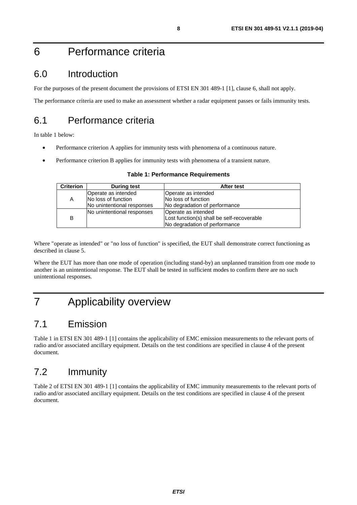# <span id="page-7-0"></span>6 Performance criteria

### 6.0 Introduction

For the purposes of the present document the provisions of ETSI EN 301 489-1 [\[1](#page-4-0)], clause 6, shall not apply.

The performance criteria are used to make an assessment whether a radar equipment passes or fails immunity tests.

### 6.1 Performance criteria

In table 1 below:

- Performance criterion A applies for immunity tests with phenomena of a continuous nature.
- Performance criterion B applies for immunity tests with phenomena of a transient nature.

| <b>Table 1: Performance Requirements</b> |
|------------------------------------------|
|                                          |

| <b>Criterion</b><br><b>During test</b> |                            | After test                                 |  |  |
|----------------------------------------|----------------------------|--------------------------------------------|--|--|
|                                        | Operate as intended        | Operate as intended                        |  |  |
| A                                      | <b>No loss of function</b> | No loss of function                        |  |  |
|                                        | No unintentional responses | No degradation of performance              |  |  |
|                                        | No unintentional responses | Operate as intended                        |  |  |
| B                                      |                            | Lost function(s) shall be self-recoverable |  |  |
|                                        |                            | No degradation of performance              |  |  |

Where "operate as intended" or "no loss of function" is specified, the EUT shall demonstrate correct functioning as described in clause 5.

Where the EUT has more than one mode of operation (including stand-by) an unplanned transition from one mode to another is an unintentional response. The EUT shall be tested in sufficient modes to confirm there are no such unintentional responses.

# 7 Applicability overview

### 7.1 Emission

Table 1 in ETSI EN 301 489-1 [\[1](#page-4-0)] contains the applicability of EMC emission measurements to the relevant ports of radio and/or associated ancillary equipment. Details on the test conditions are specified in clause 4 of the present document.

### 7.2 Immunity

Table 2 of ETSI EN 301 489-1 [\[1](#page-4-0)] contains the applicability of EMC immunity measurements to the relevant ports of radio and/or associated ancillary equipment. Details on the test conditions are specified in clause 4 of the present document.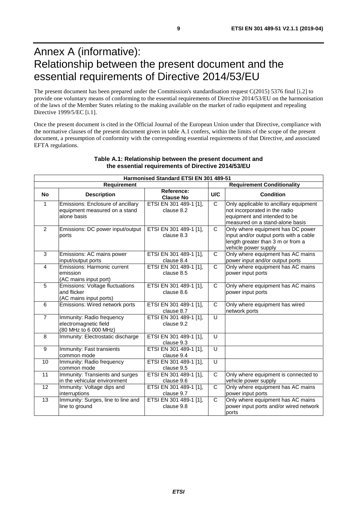# <span id="page-8-0"></span>Annex A (informative): Relationship between the present document and the essential requirements of Directive 2014/53/EU

The present document has been prepared under the Commission's standardisation request C(2015) 5376 final [\[i.2\]](#page-5-0) to provide one voluntary means of conforming to the essential requirements of Directive 2014/53/EU on the harmonisation of the laws of the Member States relating to the making available on the market of radio equipment and repealing Directive 1999/5/EC [\[i.1](#page-5-0)].

Once the present document is cited in the Official Journal of the European Union under that Directive, compliance with the normative clauses of the present document given in table A.1 confers, within the limits of the scope of the present document, a presumption of conformity with the corresponding essential requirements of that Directive, and associated EFTA regulations.

| Harmonised Standard ETSI EN 301 489-51 |                                                                                   |                                      |                |                                                                                                                                            |  |  |
|----------------------------------------|-----------------------------------------------------------------------------------|--------------------------------------|----------------|--------------------------------------------------------------------------------------------------------------------------------------------|--|--|
| Requirement                            |                                                                                   |                                      |                | <b>Requirement Conditionality</b>                                                                                                          |  |  |
| <b>No</b>                              | <b>Description</b>                                                                | Reference:<br><b>Clause No</b>       | U/C            | <b>Condition</b>                                                                                                                           |  |  |
| $\mathbf{1}$                           | Emissions: Enclosure of ancillary<br>equipment measured on a stand<br>alone basis | ETSI EN 301 489-1 [1],<br>clause 8.2 | $\mathsf{C}$   | Only applicable to ancillary equipment<br>not incorporated in the radio<br>equipment and intended to be<br>measured on a stand-alone basis |  |  |
| 2                                      | Emissions: DC power input/output<br>ports                                         | ETSI EN 301 489-1 [1],<br>clause 8.3 | $\mathsf{C}$   | Only where equipment has DC power<br>input and/or output ports with a cable<br>length greater than 3 m or from a<br>vehicle power supply   |  |  |
| $\overline{3}$                         | Emissions: AC mains power<br>input/output ports                                   | ETSI EN 301 489-1 [1],<br>clause 8.4 | $\overline{C}$ | Only where equipment has AC mains<br>power input and/or output ports                                                                       |  |  |
| $\overline{4}$                         | Emissions: Harmonic current<br>emission<br>(AC mains input port)                  | ETSI EN 301 489-1 [1],<br>clause 8.5 | $\overline{C}$ | Only where equipment has AC mains<br>power input ports                                                                                     |  |  |
| 5                                      | <b>Emissions: Voltage fluctuations</b><br>and flicker<br>(AC mains input ports)   | ETSI EN 301 489-1 [1],<br>clause 8.6 | $\mathsf{C}$   | Only where equipment has AC mains<br>power input ports                                                                                     |  |  |
| 6                                      | Emissions: Wired network ports                                                    | ETSI EN 301 489-1 [1],<br>clause 8.7 | C              | Only where equipment has wired<br>network ports                                                                                            |  |  |
| $\overline{7}$                         | Immunity: Radio frequency<br>electromagnetic field<br>(80 MHz to 6 000 MHz)       | ETSI EN 301 489-1 [1],<br>clause 9.2 | $\cup$         |                                                                                                                                            |  |  |
| 8                                      | Immunity: Electrostatic discharge                                                 | ETSI EN 301 489-1 [1],<br>clause 9.3 | U              |                                                                                                                                            |  |  |
| $\overline{9}$                         | Immunity: Fast transients<br>common mode                                          | ETSI EN 301 489-1 [1],<br>clause 9.4 | U              |                                                                                                                                            |  |  |
| 10                                     | Immunity: Radio frequency<br>common mode                                          | ETSI EN 301 489-1 [1],<br>clause 9.5 | $\overline{U}$ |                                                                                                                                            |  |  |
| 11                                     | Immunity: Transients and surges<br>in the vehicular environment                   | ETSI EN 301 489-1 [1],<br>clause 9.6 | C              | Only where equipment is connected to<br>vehicle power supply                                                                               |  |  |
| $\overline{12}$                        | Immunity: Voltage dips and<br>interruptions                                       | ETSI EN 301 489-1 [1],<br>clause 9.7 | $\overline{C}$ | Only where equipment has AC mains<br>power input ports                                                                                     |  |  |
| 13                                     | Immunity: Surges, line to line and<br>line to ground                              | ETSI EN 301 489-1 [1],<br>clause 9.8 | $\mathsf{C}$   | Only where equipment has AC mains<br>power input ports and/or wired network<br>ports                                                       |  |  |

#### **Table A.1: Relationship between the present document and the essential requirements of Directive 2014/53/EU**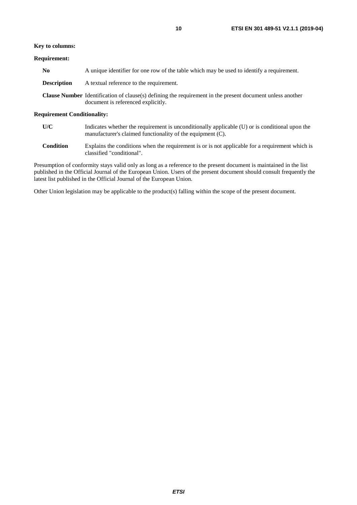#### **Key to columns:**

#### **Requirement:**

| No          | A unique identifier for one row of the table which may be used to identify a requirement.                                                              |
|-------------|--------------------------------------------------------------------------------------------------------------------------------------------------------|
| Description | A textual reference to the requirement.                                                                                                                |
|             | <b>Clause Number</b> Identification of clause(s) defining the requirement in the present document unless another<br>document is referenced explicitly. |

#### **Requirement Conditionality:**

| U/C | Indicates whether the requirement is unconditionally applicable (U) or is conditional upon the |
|-----|------------------------------------------------------------------------------------------------|
|     | manufacturer's claimed functionality of the equipment (C).                                     |

**Condition** Explains the conditions when the requirement is or is not applicable for a requirement which is classified "conditional".

Presumption of conformity stays valid only as long as a reference to the present document is maintained in the list published in the Official Journal of the European Union. Users of the present document should consult frequently the latest list published in the Official Journal of the European Union.

Other Union legislation may be applicable to the product(s) falling within the scope of the present document.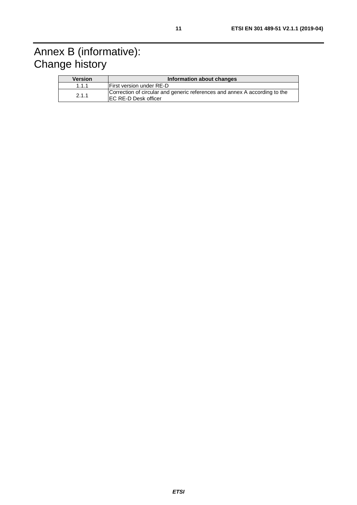# <span id="page-10-0"></span>Annex B (informative): Change history

| <b>Version</b> | Information about changes                                                                                  |
|----------------|------------------------------------------------------------------------------------------------------------|
| 1.1.1          | <b>First version under RE-D</b>                                                                            |
| 2.1.1          | Correction of circular and generic references and annex A according to the<br><b>IEC RE-D Desk officer</b> |